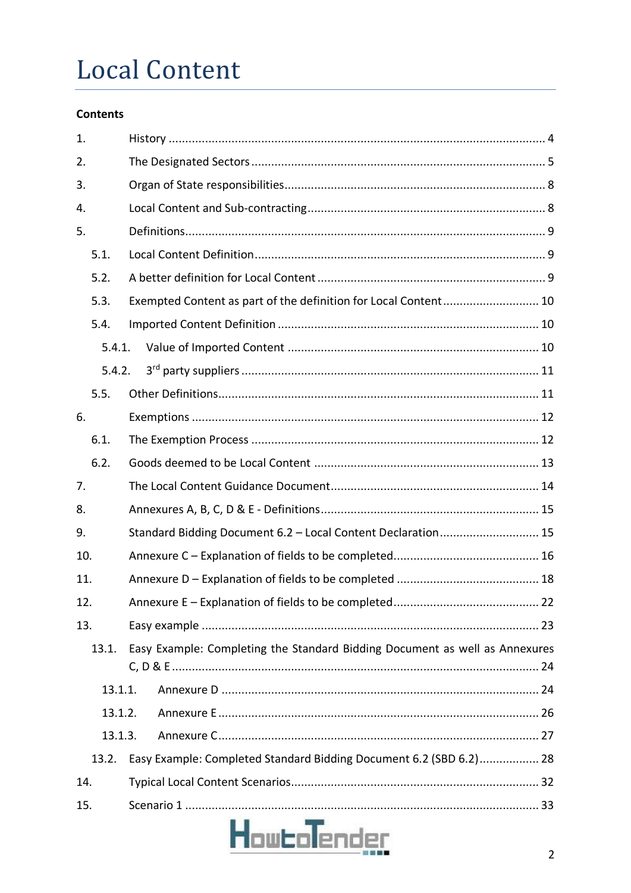## **Local Content**

## **Contents**

| 1.  |         |                                                                             |  |  |  |  |
|-----|---------|-----------------------------------------------------------------------------|--|--|--|--|
| 2.  |         |                                                                             |  |  |  |  |
| 3.  |         |                                                                             |  |  |  |  |
| 4.  |         |                                                                             |  |  |  |  |
| 5.  |         |                                                                             |  |  |  |  |
|     | 5.1.    |                                                                             |  |  |  |  |
|     | 5.2.    |                                                                             |  |  |  |  |
|     | 5.3.    | Exempted Content as part of the definition for Local Content 10             |  |  |  |  |
|     | 5.4.    |                                                                             |  |  |  |  |
|     | 5.4.1.  |                                                                             |  |  |  |  |
|     | 5.4.2.  |                                                                             |  |  |  |  |
|     | 5.5.    |                                                                             |  |  |  |  |
| 6.  |         |                                                                             |  |  |  |  |
|     | 6.1.    |                                                                             |  |  |  |  |
|     | 6.2.    |                                                                             |  |  |  |  |
| 7.  |         |                                                                             |  |  |  |  |
| 8.  |         |                                                                             |  |  |  |  |
| 9.  |         | Standard Bidding Document 6.2 - Local Content Declaration 15                |  |  |  |  |
| 10. |         |                                                                             |  |  |  |  |
| 11. |         |                                                                             |  |  |  |  |
| 12. |         | 22                                                                          |  |  |  |  |
| 13. |         |                                                                             |  |  |  |  |
|     | 13.1.   | Easy Example: Completing the Standard Bidding Document as well as Annexures |  |  |  |  |
|     | 13.1.1. |                                                                             |  |  |  |  |
|     | 13.1.2. |                                                                             |  |  |  |  |
|     | 13.1.3. |                                                                             |  |  |  |  |
|     | 13.2.   | Easy Example: Completed Standard Bidding Document 6.2 (SBD 6.2) 28          |  |  |  |  |
| 14. |         |                                                                             |  |  |  |  |
| 15. |         |                                                                             |  |  |  |  |
|     |         | <b>How bolender</b>                                                         |  |  |  |  |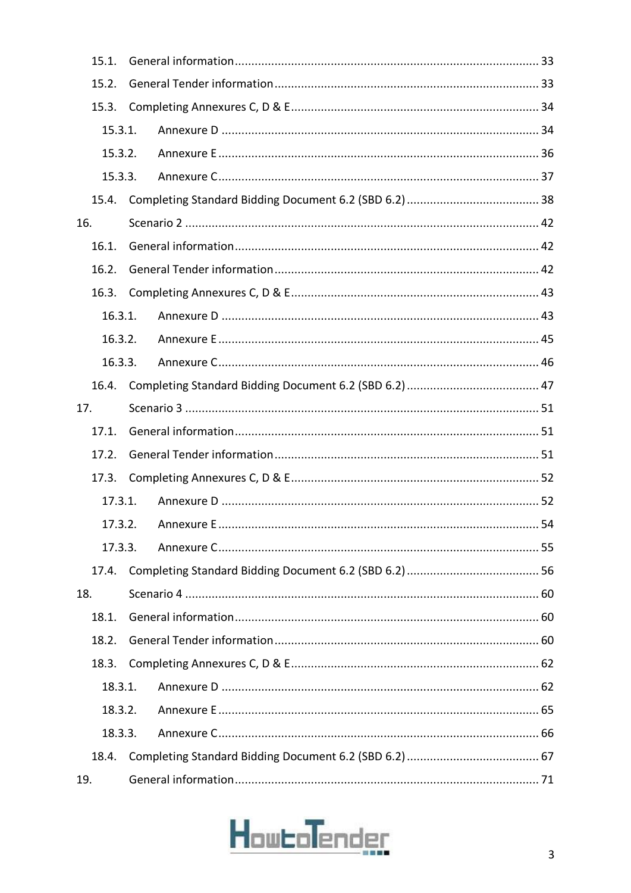|                                                          | 15.1.   |  |  |    |  |  |
|----------------------------------------------------------|---------|--|--|----|--|--|
|                                                          | 15.2.   |  |  |    |  |  |
|                                                          | 15.3.   |  |  |    |  |  |
| 15.3.1.                                                  |         |  |  |    |  |  |
|                                                          | 15.3.2. |  |  |    |  |  |
| 15.3.3.                                                  |         |  |  |    |  |  |
|                                                          | 15.4.   |  |  |    |  |  |
| 16.                                                      |         |  |  |    |  |  |
|                                                          | 16.1.   |  |  |    |  |  |
|                                                          | 16.2.   |  |  |    |  |  |
|                                                          | 16.3.   |  |  |    |  |  |
|                                                          | 16.3.1. |  |  |    |  |  |
|                                                          | 16.3.2. |  |  |    |  |  |
|                                                          | 16.3.3. |  |  |    |  |  |
|                                                          | 16.4.   |  |  |    |  |  |
| 17.                                                      |         |  |  |    |  |  |
|                                                          | 17.1.   |  |  |    |  |  |
| 17.2.                                                    |         |  |  |    |  |  |
|                                                          | 17.3.   |  |  |    |  |  |
|                                                          | 17.3.1. |  |  |    |  |  |
|                                                          |         |  |  | 54 |  |  |
|                                                          | 17.3.3. |  |  |    |  |  |
|                                                          | 17.4.   |  |  |    |  |  |
| 18.                                                      |         |  |  |    |  |  |
| 18.1.<br>18.2.<br>18.3.<br>18.3.1.<br>18.3.2.<br>18.3.3. |         |  |  |    |  |  |
|                                                          |         |  |  |    |  |  |
|                                                          |         |  |  |    |  |  |
|                                                          |         |  |  |    |  |  |
|                                                          |         |  |  |    |  |  |
|                                                          |         |  |  |    |  |  |
|                                                          | 18.4.   |  |  |    |  |  |
| 19.                                                      |         |  |  |    |  |  |